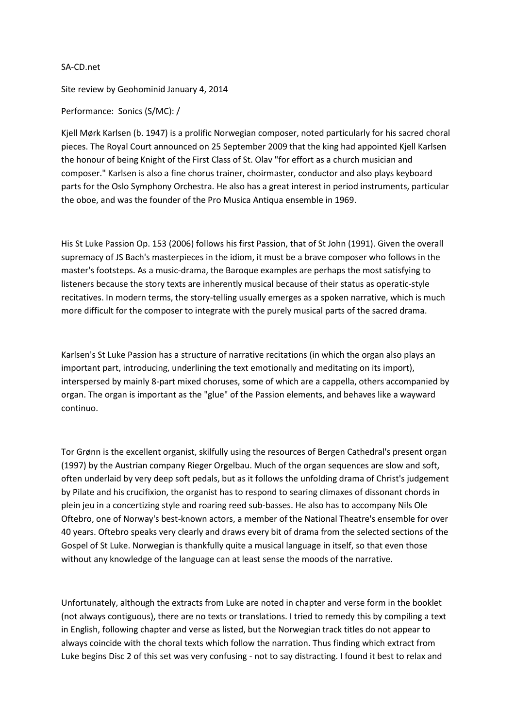## SA-CD.net

Site review by Geohominid January 4, 2014

Performance: Sonics (S/MC): /

Kjell Mørk Karlsen (b. 1947) is a prolific Norwegian composer, noted particularly for his sacred choral pieces. The Royal Court announced on 25 September 2009 that the king had appointed Kjell Karlsen the honour of being Knight of the First Class of St. Olav "for effort as a church musician and composer." Karlsen is also a fine chorus trainer, choirmaster, conductor and also plays keyboard parts for the Oslo Symphony Orchestra. He also has a great interest in period instruments, particular the oboe, and was the founder of the Pro Musica Antiqua ensemble in 1969.

His St Luke Passion Op. 153 (2006) follows his first Passion, that of St John (1991). Given the overall supremacy of JS Bach's masterpieces in the idiom, it must be a brave composer who follows in the master's footsteps. As a music-drama, the Baroque examples are perhaps the most satisfying to listeners because the story texts are inherently musical because of their status as operatic-style recitatives. In modern terms, the story-telling usually emerges as a spoken narrative, which is much more difficult for the composer to integrate with the purely musical parts of the sacred drama.

Karlsen's St Luke Passion has a structure of narrative recitations (in which the organ also plays an important part, introducing, underlining the text emotionally and meditating on its import), interspersed by mainly 8-part mixed choruses, some of which are a cappella, others accompanied by organ. The organ is important as the "glue" of the Passion elements, and behaves like a wayward continuo.

Tor Grønn is the excellent organist, skilfully using the resources of Bergen Cathedral's present organ (1997) by the Austrian company Rieger Orgelbau. Much of the organ sequences are slow and soft, often underlaid by very deep soft pedals, but as it follows the unfolding drama of Christ's judgement by Pilate and his crucifixion, the organist has to respond to searing climaxes of dissonant chords in plein jeu in a concertizing style and roaring reed sub-basses. He also has to accompany Nils Ole Oftebro, one of Norway's best-known actors, a member of the National Theatre's ensemble for over 40 years. Oftebro speaks very clearly and draws every bit of drama from the selected sections of the Gospel of St Luke. Norwegian is thankfully quite a musical language in itself, so that even those without any knowledge of the language can at least sense the moods of the narrative.

Unfortunately, although the extracts from Luke are noted in chapter and verse form in the booklet (not always contiguous), there are no texts or translations. I tried to remedy this by compiling a text in English, following chapter and verse as listed, but the Norwegian track titles do not appear to always coincide with the choral texts which follow the narration. Thus finding which extract from Luke begins Disc 2 of this set was very confusing - not to say distracting. I found it best to relax and